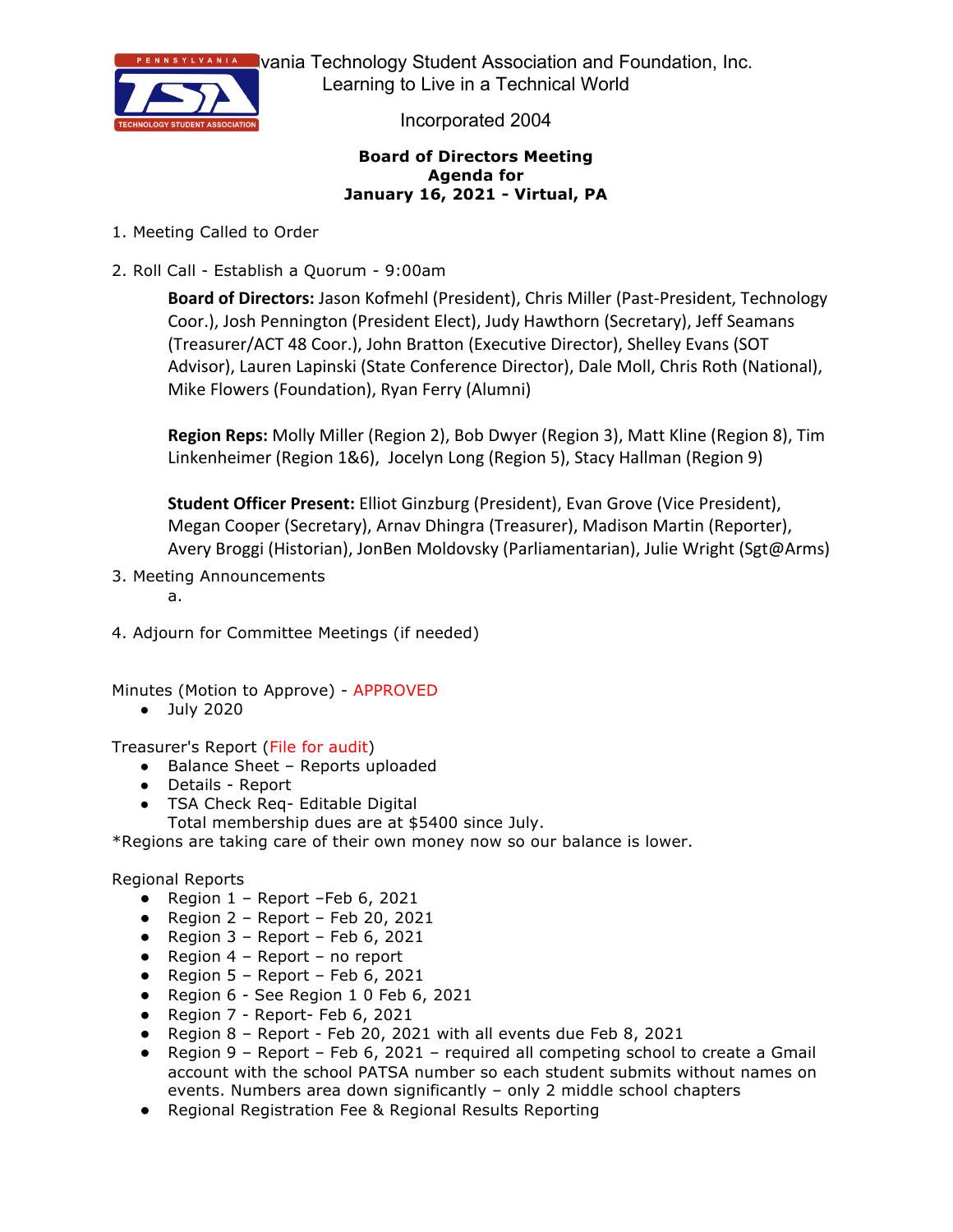

**Prania Technology Student Association and Foundation, Inc.** Learning to Live in a Technical World

Incorporated 2004

#### **Board of Directors Meeting Agenda for January 16, 2021 - Virtual, PA**

- 1. Meeting Called to Order
- 2. Roll Call Establish a Quorum 9:00am

**Board of Directors:** Jason Kofmehl (President), Chris Miller (Past-President, Technology Coor.), Josh Pennington (President Elect), Judy Hawthorn (Secretary), Jeff Seamans (Treasurer/ACT 48 Coor.), John Bratton (Executive Director), Shelley Evans (SOT Advisor), Lauren Lapinski (State Conference Director), Dale Moll, Chris Roth (National), Mike Flowers (Foundation), Ryan Ferry (Alumni)

**Region Reps:** Molly Miller (Region 2), Bob Dwyer (Region 3), Matt Kline (Region 8), Tim Linkenheimer (Region 1&6), Jocelyn Long (Region 5), Stacy Hallman (Region 9)

**Student Officer Present:** Elliot Ginzburg (President), Evan Grove (Vice President), Megan Cooper (Secretary), Arnav Dhingra (Treasurer), Madison Martin (Reporter), Avery Broggi (Historian), JonBen Moldovsky (Parliamentarian), Julie Wright (Sgt@Arms)

3. Meeting Announcements

a.

4. Adjourn for Committee Meetings (if needed)

Minutes (Motion to Approve) - APPROVED

● July 2020

Treasurer's Report (File for audit)

- Balance Sheet Reports uploaded
- Details Report
- TSA Check Req- Editable Digital
	- Total membership dues are at \$5400 since July.

\*Regions are taking care of their own money now so our balance is lower.

Regional Reports

- $\bullet$  Region 1 Report -Feb 6, 2021
- $\bullet$  Region 2 Report Feb 20, 2021
- $\bullet$  Region 3 Report Feb 6, 2021
- $\bullet$  Region 4 Report no report
- Region  $5 -$  Report  $-$  Feb 6, 2021
- Region 6 See Region 1 0 Feb 6, 2021
- Region 7 Report- Feb 6, 2021
- Region 8 Report Feb 20, 2021 with all events due Feb 8, 2021
- Region 9 Report Feb 6, 2021 required all competing school to create a Gmail account with the school PATSA number so each student submits without names on events. Numbers area down significantly – only 2 middle school chapters
- Regional Registration Fee & Regional Results Reporting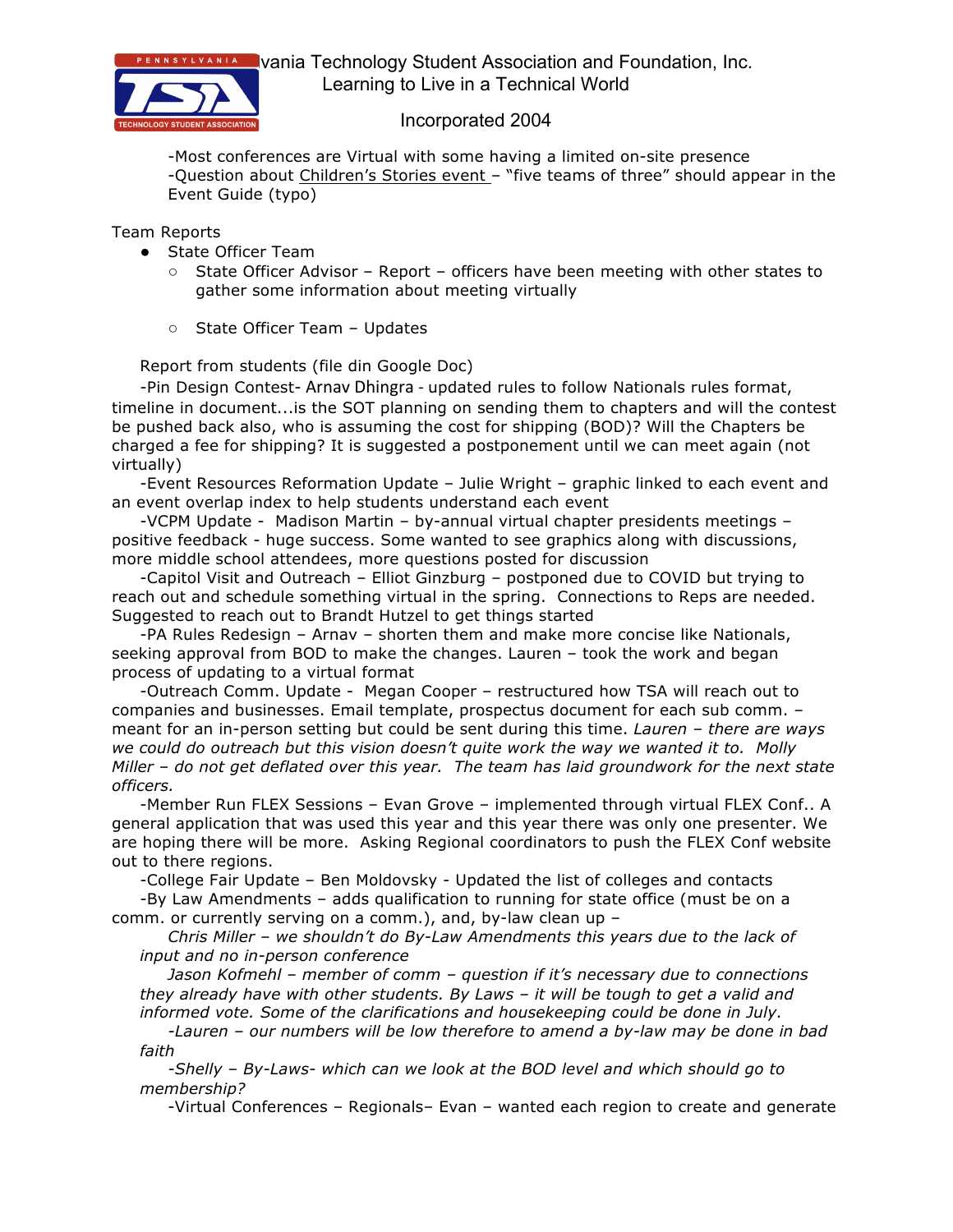

**EXEVANIA** Vania Technology Student Association and Foundation, Inc. Learning to Live in a Technical World

### Incorporated 2004

-Most conferences are Virtual with some having a limited on-site presence -Question about Children's Stories event - "five teams of three" should appear in the Event Guide (typo)

Team Reports

- State Officer Team
	- $\circ$  State Officer Advisor Report officers have been meeting with other states to gather some information about meeting virtually
	- State Officer Team Updates

Report from students (file din Google Doc)

-Pin Design Contest- Arnav Dhingra - updated rules to follow Nationals rules format, timeline in document...is the SOT planning on sending them to chapters and will the contest be pushed back also, who is assuming the cost for shipping (BOD)? Will the Chapters be charged a fee for shipping? It is suggested a postponement until we can meet again (not virtually)

-Event Resources Reformation Update – Julie Wright – graphic linked to each event and an event overlap index to help students understand each event

-VCPM Update - Madison Martin – by-annual virtual chapter presidents meetings – positive feedback - huge success. Some wanted to see graphics along with discussions, more middle school attendees, more questions posted for discussion

-Capitol Visit and Outreach – Elliot Ginzburg – postponed due to COVID but trying to reach out and schedule something virtual in the spring. Connections to Reps are needed. Suggested to reach out to Brandt Hutzel to get things started

-PA Rules Redesign – Arnav – shorten them and make more concise like Nationals, seeking approval from BOD to make the changes. Lauren – took the work and began process of updating to a virtual format

-Outreach Comm. Update - Megan Cooper – restructured how TSA will reach out to companies and businesses. Email template, prospectus document for each sub comm. – meant for an in-person setting but could be sent during this time. *Lauren – there are ways we could do outreach but this vision doesn't quite work the way we wanted it to. Molly Miller – do not get deflated over this year. The team has laid groundwork for the next state officers.* 

-Member Run FLEX Sessions – Evan Grove – implemented through virtual FLEX Conf.. A general application that was used this year and this year there was only one presenter. We are hoping there will be more. Asking Regional coordinators to push the FLEX Conf website out to there regions.

-College Fair Update – Ben Moldovsky - Updated the list of colleges and contacts

-By Law Amendments – adds qualification to running for state office (must be on a comm. or currently serving on a comm.), and, by-law clean up –

*Chris Miller – we shouldn't do By-Law Amendments this years due to the lack of input and no in-person conference*

*Jason Kofmehl – member of comm – question if it's necessary due to connections they already have with other students. By Laws – it will be tough to get a valid and informed vote. Some of the clarifications and housekeeping could be done in July.*

*-Lauren – our numbers will be low therefore to amend a by-law may be done in bad faith*

*-Shelly – By-Laws- which can we look at the BOD level and which should go to membership?*

-Virtual Conferences – Regionals– Evan – wanted each region to create and generate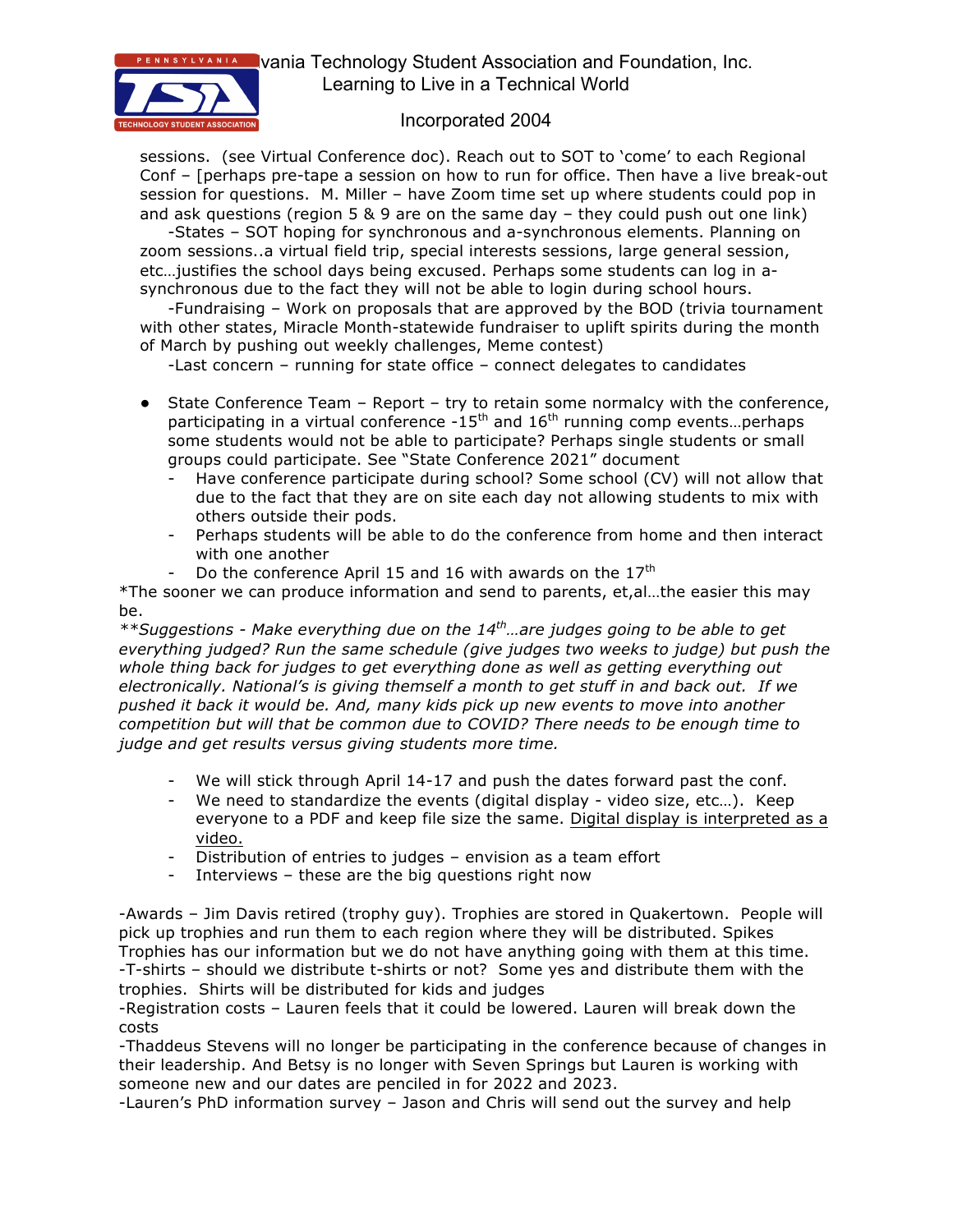

**NSYLVANIA** Vania Technology Student Association and Foundation, Inc. Learning to Live in a Technical World

## Incorporated 2004

sessions. (see Virtual Conference doc). Reach out to SOT to 'come' to each Regional Conf – [perhaps pre-tape a session on how to run for office. Then have a live break-out session for questions. M. Miller – have Zoom time set up where students could pop in and ask questions (region 5 & 9 are on the same day - they could push out one link)

-States – SOT hoping for synchronous and a-synchronous elements. Planning on zoom sessions..a virtual field trip, special interests sessions, large general session, etc…justifies the school days being excused. Perhaps some students can log in asynchronous due to the fact they will not be able to login during school hours.

-Fundraising – Work on proposals that are approved by the BOD (trivia tournament with other states, Miracle Month-statewide fundraiser to uplift spirits during the month of March by pushing out weekly challenges, Meme contest)

-Last concern – running for state office – connect delegates to candidates

- State Conference Team Report try to retain some normalcy with the conference, participating in a virtual conference  $-15<sup>th</sup>$  and  $16<sup>th</sup>$  running comp events... perhaps some students would not be able to participate? Perhaps single students or small groups could participate. See "State Conference 2021" document
	- Have conference participate during school? Some school (CV) will not allow that due to the fact that they are on site each day not allowing students to mix with others outside their pods.
	- Perhaps students will be able to do the conference from home and then interact with one another
	- Do the conference April 15 and 16 with awards on the 17<sup>th</sup>

\*The sooner we can produce information and send to parents, et,al…the easier this may be.

*\*\*Suggestions - Make everything due on the 14th…are judges going to be able to get everything judged? Run the same schedule (give judges two weeks to judge) but push the whole thing back for judges to get everything done as well as getting everything out electronically. National's is giving themself a month to get stuff in and back out. If we pushed it back it would be. And, many kids pick up new events to move into another competition but will that be common due to COVID? There needs to be enough time to judge and get results versus giving students more time.* 

- We will stick through April 14-17 and push the dates forward past the conf.
- We need to standardize the events (digital display video size, etc…). Keep everyone to a PDF and keep file size the same. Digital display is interpreted as a video.
- Distribution of entries to judges envision as a team effort
- Interviews these are the big questions right now

-Awards – Jim Davis retired (trophy guy). Trophies are stored in Quakertown. People will pick up trophies and run them to each region where they will be distributed. Spikes Trophies has our information but we do not have anything going with them at this time. -T-shirts – should we distribute t-shirts or not? Some yes and distribute them with the trophies. Shirts will be distributed for kids and judges

-Registration costs – Lauren feels that it could be lowered. Lauren will break down the costs

-Thaddeus Stevens will no longer be participating in the conference because of changes in their leadership. And Betsy is no longer with Seven Springs but Lauren is working with someone new and our dates are penciled in for 2022 and 2023.

-Lauren's PhD information survey – Jason and Chris will send out the survey and help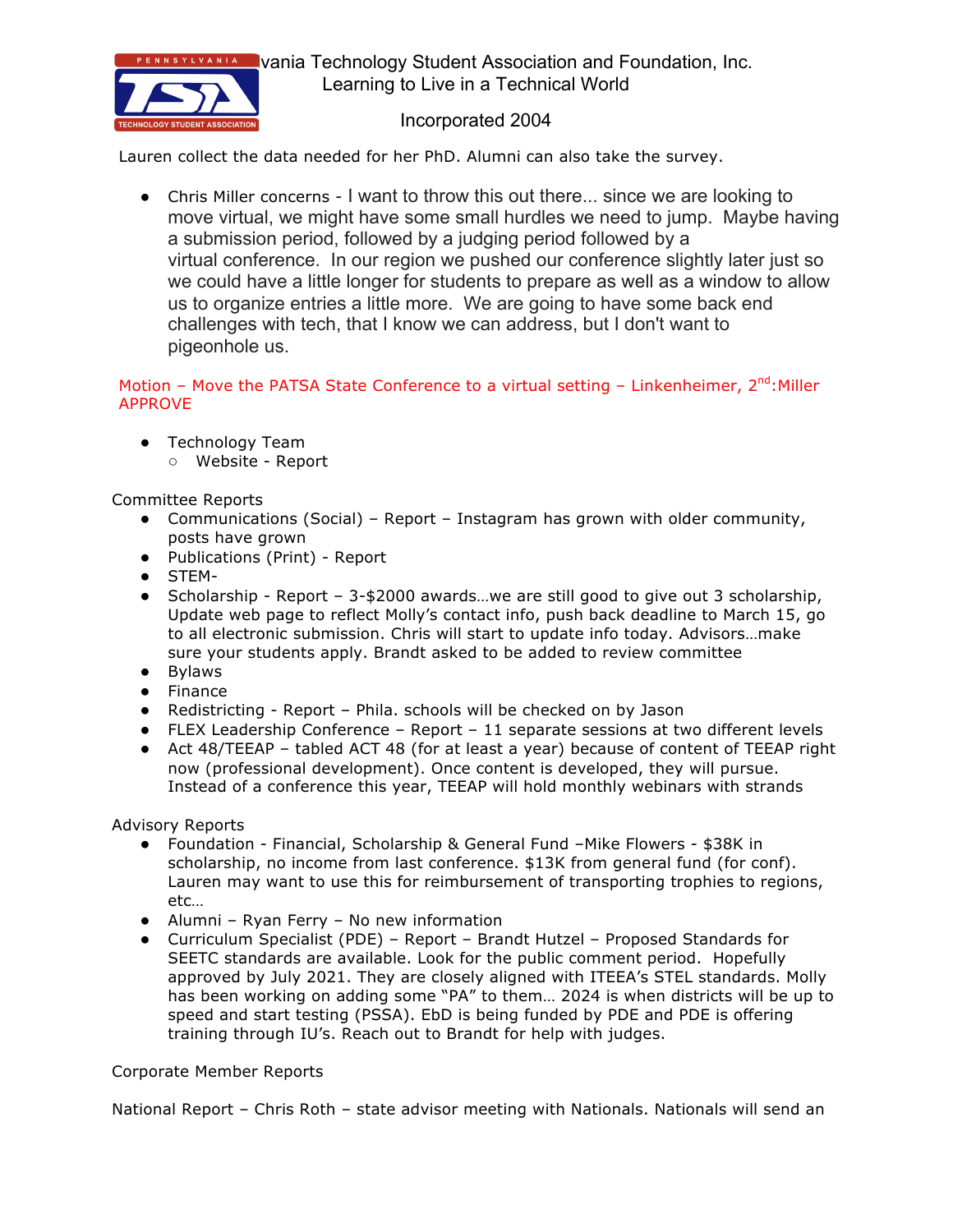

**NSYLVANIA** Vania Technology Student Association and Foundation, Inc. Learning to Live in a Technical World

## Incorporated 2004

Lauren collect the data needed for her PhD. Alumni can also take the survey.

● Chris Miller concerns - I want to throw this out there... since we are looking to move virtual, we might have some small hurdles we need to jump. Maybe having a submission period, followed by a judging period followed by a virtual conference. In our region we pushed our conference slightly later just so we could have a little longer for students to prepare as well as a window to allow us to organize entries a little more. We are going to have some back end challenges with tech, that I know we can address, but I don't want to pigeonhole us.

Motion – Move the PATSA State Conference to a virtual setting – Linkenheimer,  $2^{nd}$ : Miller APPROVE

- Technology Team
	- Website Report

### Committee Reports

- Communications (Social) Report Instagram has grown with older community, posts have grown
- Publications (Print) Report
- STEM-
- Scholarship Report 3-\$2000 awards...we are still good to give out 3 scholarship, Update web page to reflect Molly's contact info, push back deadline to March 15, go to all electronic submission. Chris will start to update info today. Advisors…make sure your students apply. Brandt asked to be added to review committee
- Bylaws
- Finance
- Redistricting Report Phila. schools will be checked on by Jason
- FLEX Leadership Conference Report 11 separate sessions at two different levels
- Act 48/TEEAP tabled ACT 48 (for at least a year) because of content of TEEAP right now (professional development). Once content is developed, they will pursue. Instead of a conference this year, TEEAP will hold monthly webinars with strands

Advisory Reports

- Foundation Financial, Scholarship & General Fund –Mike Flowers \$38K in scholarship, no income from last conference. \$13K from general fund (for conf). Lauren may want to use this for reimbursement of transporting trophies to regions, etc…
- Alumni Ryan Ferry No new information
- Curriculum Specialist (PDE) Report Brandt Hutzel Proposed Standards for SEETC standards are available. Look for the public comment period. Hopefully approved by July 2021. They are closely aligned with ITEEA's STEL standards. Molly has been working on adding some "PA" to them… 2024 is when districts will be up to speed and start testing (PSSA). EbD is being funded by PDE and PDE is offering training through IU's. Reach out to Brandt for help with judges.

### Corporate Member Reports

National Report – Chris Roth – state advisor meeting with Nationals. Nationals will send an